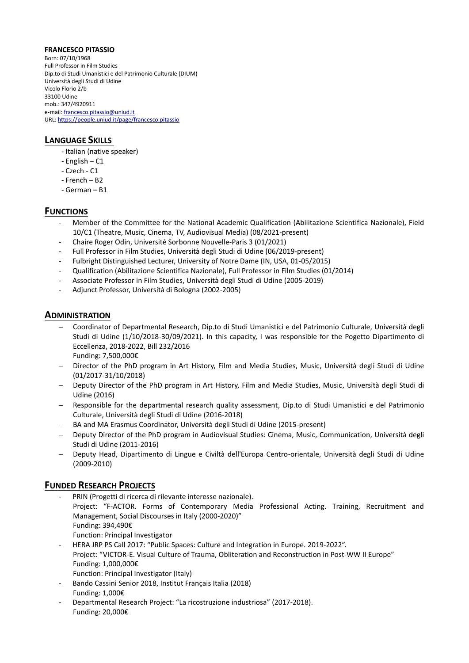#### **FRANCESCO PITASSIO**

Born: 07/10/1968 Full Professor in Film Studies Dip.to di Studi Umanistici e del Patrimonio Culturale (DIUM) Università degli Studi di Udine Vicolo Florio 2/b 33100 Udine mob.: 347/4920911 e-mail[: francesco.pitassio@uniud.it](mailto:francesco.pitassio@uniud.it) URL[: https://people.uniud.it/page/francesco.pitassio](https://people.uniud.it/page/francesco.pitassio)

# **LANGUAGE SKILLS**

- Italian (native speaker)
- English C1
- Czech C1
- French B2
- German B1

# **FUNCTIONS**

- Member of the Committee for the National Academic Qualification (Abilitazione Scientifica Nazionale), Field 10/C1 (Theatre, Music, Cinema, TV, Audiovisual Media) (08/2021-present)
- Chaire Roger Odin, Université Sorbonne Nouvelle-Paris 3 (01/2021)
- Full Professor in Film Studies, Università degli Studi di Udine (06/2019-present)
- Fulbright Distinguished Lecturer, University of Notre Dame (IN, USA, 01-05/2015)
- Qualification (Abilitazione Scientifica Nazionale), Full Professor in Film Studies (01/2014)
- Associate Professor in Film Studies, Università degli Studi di Udine (2005-2019)
- Adjunct Professor, Università di Bologna (2002-2005)

#### **ADMINISTRATION**

- − Coordinator of Departmental Research, Dip.to di Studi Umanistici e del Patrimonio Culturale, Università degli Studi di Udine (1/10/2018-30/09/2021). In this capacity, I was responsible for the Pogetto Dipartimento di Eccellenza, 2018-2022, Bill 232/2016 Funding: 7,500,000€
- − Director of the PhD program in Art History, Film and Media Studies, Music, Università degli Studi di Udine (01/2017-31/10/2018)
- − Deputy Director of the PhD program in Art History, Film and Media Studies, Music, Università degli Studi di Udine (2016)
- − Responsible for the departmental research quality assessment, Dip.to di Studi Umanistici e del Patrimonio Culturale, Università degli Studi di Udine (2016-2018)
- − BA and MA Erasmus Coordinator, Università degli Studi di Udine (2015-present)
- − Deputy Director of the PhD program in Audiovisual Studies: Cinema, Music, Communication, Università degli Studi di Udine (2011-2016)
- − Deputy Head, Dipartimento di Lingue e Civiltà dell'Europa Centro-orientale, Università degli Studi di Udine (2009-2010)

# **FUNDED RESEARCH PROJECTS**

- PRIN (Progetti di ricerca di rilevante interesse nazionale). Project: "F-ACTOR. Forms of Contemporary Media Professional Acting. Training, Recruitment and Management, Social Discourses in Italy (2000-2020)" Funding: 394,490€ Function: Principal Investigator - HERA JRP PS Call 2017: "Public Spaces: Culture and Integration in Europe. 2019-2022".
- Project: "VICTOR-E. Visual Culture of Trauma, Obliteration and Reconstruction in Post-WW II Europe" Funding: 1,000,000€
	- Function: Principal Investigator (Italy)
- Bando Cassini Senior 2018, Institut Français Italia (2018)
- Funding: 1,000€
- Departmental Research Project: "La ricostruzione industriosa" (2017-2018). Funding: 20,000€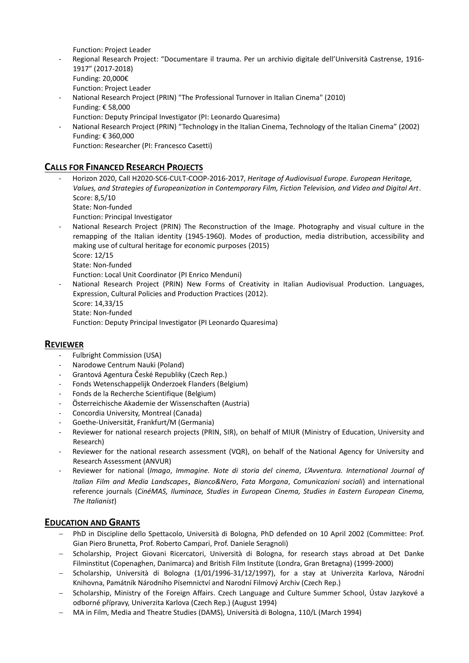Function: Project Leader

- Regional Research Project: "Documentare il trauma. Per un archivio digitale dell'Università Castrense, 1916- 1917" (2017-2018) Funding: 20,000€ Function: Project Leader
- National Research Project (PRIN) "The Professional Turnover in Italian Cinema" (2010) Funding: € 58,000
	- Function: Deputy Principal Investigator (PI: Leonardo Quaresima)
- National Research Project (PRIN) "Technology in the Italian Cinema, Technology of the Italian Cinema" (2002) Funding: € 360,000

Function: Researcher (PI: Francesco Casetti)

# **CALLS FOR FINANCED RESEARCH PROJECTS**

- Horizon 2020, Call H2020-SC6-CULT-COOP-2016-2017, *Heritage of Audiovisual Europe. European Heritage, Values, and Strategies of Europeanization in Contemporary Film, Fiction Television, and Video and Digital Art*. Score: 8,5/10 State: Non-funded

Function: Principal Investigator

National Research Project (PRIN) The Reconstruction of the Image. Photography and visual culture in the remapping of the Italian identity (1945-1960). Modes of production, media distribution, accessibility and making use of cultural heritage for economic purposes (2015) Score: 12/15

State: Non-funded

Function: Local Unit Coordinator (PI Enrico Menduni)

- National Research Project (PRIN) New Forms of Creativity in Italian Audiovisual Production. Languages, Expression, Cultural Policies and Production Practices (2012).
	- Score: 14,33/15

State: Non-funded

Function: Deputy Principal Investigator (PI Leonardo Quaresima)

# **REVIEWER**

- Fulbright Commission (USA)
- Narodowe Centrum Nauki (Poland)
- Grantová Agentura České Republiky (Czech Rep.)
- Fonds Wetenschappelijk Onderzoek Flanders (Belgium)
- Fonds de la Recherche Scientifique (Belgium)
- Österreichische Akademie der Wissenschaften (Austria)
- Concordia University, Montreal (Canada)
- Goethe-Universität, Frankfurt/M (Germania)
- Reviewer for national research projects (PRIN, SIR), on behalf of MIUR (Ministry of Education, University and Research)
- Reviewer for the national research assessment (VQR), on behalf of the National Agency for University and Research Assessment (ANVUR)
- Reviewer for national (*Imago*, *Immagine. Note di storia del cinema*, *L'Avventura. International Journal of Italian Film and Media Landscapes*, *Bianco&Nero*, *Fata Morgana*, *Comunicazioni sociali*) and international reference journals (*CinéMAS, Iluminace, Studies in European Cinema, Studies in Eastern European Cinema, The Italianist*)

# **EDUCATION AND GRANTS**

- − PhD in Discipline dello Spettacolo, Università di Bologna, PhD defended on 10 April 2002 (Committee: Prof. Gian Piero Brunetta, Prof. Roberto Campari, Prof. Daniele Seragnoli)
- − Scholarship, Project Giovani Ricercatori, Università di Bologna, for research stays abroad at Det Danke Filminstitut (Copenaghen, Danimarca) and British Film Institute (Londra, Gran Bretagna) (1999-2000)
- − Scholarship, Università di Bologna (1/01/1996-31/12/1997), for a stay at Univerzita Karlova, Národní Knihovna, Památník Národního Písemnictví and Narodní Filmový Archiv (Czech Rep.)
- Scholarship, Ministry of the Foreign Affairs. Czech Language and Culture Summer School, Ústav Jazykové a odborné přípravy, Univerzita Karlova (Czech Rep.) (August 1994)
- − MA in Film, Media and Theatre Studies (DAMS), Università di Bologna, 110/L (March 1994)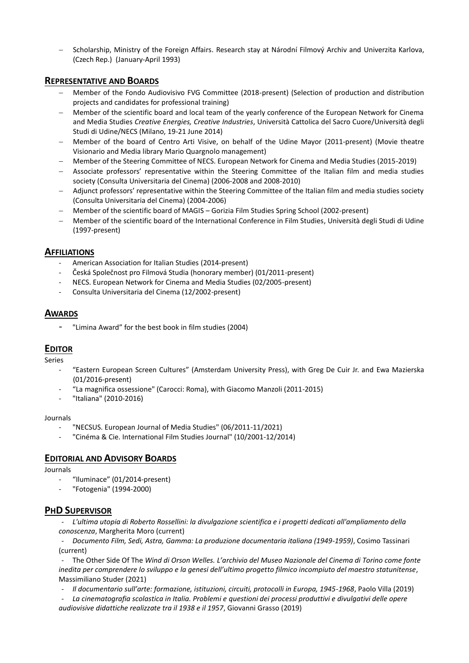− Scholarship, Ministry of the Foreign Affairs. Research stay at Národní Filmový Archiv and Univerzita Karlova, (Czech Rep.) (January-April 1993)

#### **REPRESENTATIVE AND BOARDS**

- − Member of the Fondo Audiovisivo FVG Committee (2018-present) (Selection of production and distribution projects and candidates for professional training)
- − Member of the scientific board and local team of the yearly conference of the European Network for Cinema and Media Studies *Creative Energies, Creative Industries*, Università Cattolica del Sacro Cuore/Università degli Studi di Udine/NECS (Milano, 19-21 June 2014)
- − Member of the board of Centro Arti Visive, on behalf of the Udine Mayor (2011-present) (Movie theatre Visionario and Media library Mario Quargnolo management)
- − Member of the Steering Committee of NECS. European Network for Cinema and Media Studies (2015-2019)
- − Associate professors' representative within the Steering Committee of the Italian film and media studies society (Consulta Universitaria del Cinema) (2006-2008 and 2008-2010)
- − Adjunct professors' representative within the Steering Committee of the Italian film and media studies society (Consulta Universitaria del Cinema) (2004-2006)
- − Member of the scientific board of MAGIS Gorizia Film Studies Spring School (2002-present)
- − Member of the scientific board of the International Conference in Film Studies, Università degli Studi di Udine (1997-present)

#### **AFFILIATIONS**

- American Association for Italian Studies (2014-present)
- Česká Společnost pro Filmová Studia (honorary member) (01/2011-present)
- NECS. European Network for Cinema and Media Studies (02/2005-present)
- Consulta Universitaria del Cinema (12/2002-present)

#### **AWARDS**

- "Limina Award" for the best book in film studies (2004)

# **EDITOR**

Series

- "Eastern European Screen Cultures" (Amsterdam University Press), with Greg De Cuir Jr. and Ewa Mazierska (01/2016-present)
- "La magnifica ossessione" (Carocci: Roma), with Giacomo Manzoli (2011-2015)
- "Italiana" (2010-2016)

#### Journals

- "NECSUS. European Journal of Media Studies" (06/2011-11/2021)
- "Cinéma & Cie. International Film Studies Journal" (10/2001-12/2014)

# **EDITORIAL AND ADVISORY BOARDS**

Journals

- "Iluminace" (01/2014-present)
- "Fotogenia" (1994-2000)

# **PHD SUPERVISOR**

- *L'ultima utopia di Roberto Rossellini: la divulgazione scientifica e i progetti dedicati all'ampliamento della conoscenza*, Margherita Moro (current)

- *Documento Film, Sedi, Astra, Gamma: La produzione documentaria italiana (1949-1959)*, Cosimo Tassinari (current)

- The Other Side Of The *Wind di Orson Welles. L'archivio del Museo Nazionale del Cinema di Torino come fonte inedita per comprendere lo sviluppo e la genesi dell'ultimo progetto filmico incompiuto del maestro statunitense*, Massimiliano Studer (2021)

- *Il documentario sull'arte: formazione, istituzioni, circuiti, protocolli in Europa, 1945-1968*, Paolo Villa (2019)

- *La cinematografia scolastica in Italia. Problemi e questioni dei processi produttivi e divulgativi delle opere audiovisive didattiche realizzate tra il 1938 e il 1957*, Giovanni Grasso (2019)